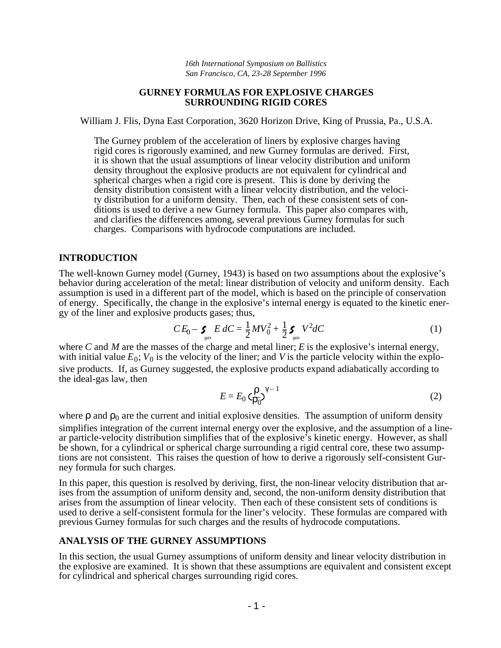*16th International Symposium on Ballistics San Francisco, CA, 23-28 September 1996*

#### **GURNEY FORMULAS FOR EXPLOSIVE CHARGES SURROUNDING RIGID CORES**

William J. Flis, Dyna East Corporation, 3620 Horizon Drive, King of Prussia, Pa., U.S.A.

The Gurney problem of the acceleration of liners by explosive charges having rigid cores is rigorously examined, and new Gurney formulas are derived. First, it is shown that the usual assumptions of linear velocity distribution and uniform density throughout the explosive products are not equivalent for cylindrical and spherical charges when a rigid core is present. This is done by deriving the density distribution consistent with a linear velocity distribution, and the velocity distribution for a uniform density. Then, each of these consistent sets of conditions is used to derive a new Gurney formula. This paper also compares with, and clarifies the differences among, several previous Gurney formulas for such charges. Comparisons with hydrocode computations are included.

### **INTRODUCTION**

The well-known Gurney model (Gurney, 1943) is based on two assumptions about the explosive's behavior during acceleration of the metal: linear distribution of velocity and uniform density. Each assumption is used in a different part of the model, which is based on the principle of conservation of energy. Specifically, the change in the explosive's internal energy is equated to the kinetic energy of the liner and explosive products gases; thus,

$$
CE_0 - \sum_{gas} E \, dC = \frac{1}{2} M V_0^2 + \frac{1}{2} \sum_{gas} V^2 dC \tag{1}
$$

where *C* and *M* are the masses of the charge and metal liner; *E* is the explosive's internal energy, with initial value  $E_0$ ;  $V_0$  is the velocity of the liner; and *V* is the particle velocity within the explosive products. If, as Gurney suggested, the explosive products expand adiabatically according to the ideal-gas law, then

$$
E = E_0 \left( \frac{\rho}{\rho_0} \right)^{\gamma - 1} \tag{2}
$$

where  $\rho$  and  $\rho_0$  are the current and initial explosive densities. The assumption of uniform density simplifies integration of the current internal energy over the explosive, and the assumption of a linear particle-velocity distribution simplifies that of the explosive's kinetic energy. However, as shall be shown, for a cylindrical or spherical charge surrounding a rigid central core, these two assumptions are not consistent. This raises the question of how to derive a rigorously self-consistent Gurney formula for such charges.

In this paper, this question is resolved by deriving, first, the non-linear velocity distribution that arises from the assumption of uniform density and, second, the non-uniform density distribution that arises from the assumption of linear velocity. Then each of these consistent sets of conditions is used to derive a self-consistent formula for the liner's velocity. These formulas are compared with previous Gurney formulas for such charges and the results of hydrocode computations.

## **ANALYSIS OF THE GURNEY ASSUMPTIONS**

In this section, the usual Gurney assumptions of uniform density and linear velocity distribution in the explosive are examined. It is shown that these assumptions are equivalent and consistent except for cylindrical and spherical charges surrounding rigid cores.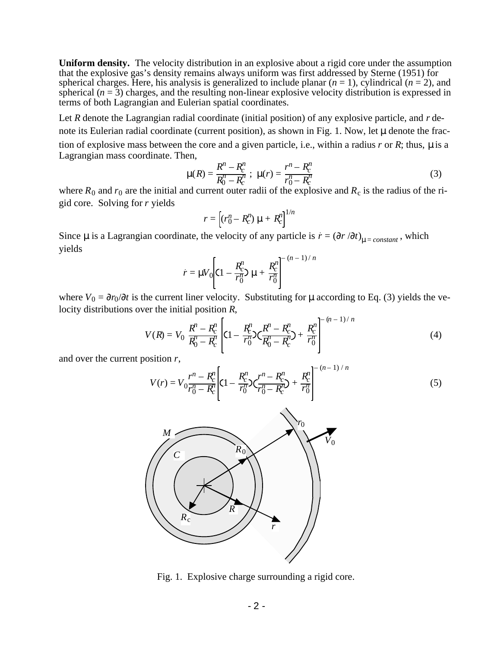**Uniform density.** The velocity distribution in an explosive about a rigid core under the assumption that the explosive gas's density remains always uniform was first addressed by Sterne (1951) for spherical charges. Here, his analysis is generalized to include planar  $(n = 1)$ , cylindrical  $(n = 2)$ , and spherical  $(n = 3)$  charges, and the resulting non-linear explosive velocity distribution is expressed in terms of both Lagrangian and Eulerian spatial coordinates.

Let *R* denote the Lagrangian radial coordinate (initial position) of any explosive particle, and *r* denote its Eulerian radial coordinate (current position), as shown in Fig. 1. Now, let  $\mu$  denote the fraction of explosive mass between the core and a given particle, i.e., within a radius  $r$  or  $R$ ; thus,  $\mu$  is a Lagrangian mass coordinate. Then,

$$
\mu(R) = \frac{R^n - R_c^n}{R_0^n - R_c^n} \; ; \; \mu(r) = \frac{r^n - R_c^n}{r_0^n - R_c^n} \tag{3}
$$

where  $R_0$  and  $r_0$  are the initial and current outer radii of the explosive and  $R_c$  is the radius of the rigid core. Solving for *r* yields

$$
r = \left[ (r_0^n - R_c^n) \mu + R_c^n \right]^{1/n}
$$

Since  $\mu$  is a Lagrangian coordinate, the velocity of any particle is  $\dot{r} = (\partial r / \partial t)_{\mu = constant}$ , which yields

$$
\dot{r} = \mu V_0 \left[ C1 - \frac{R_c^n}{r_0^n} \mu + \frac{R_c^n}{r_0^n} \right]^{-(n-1)/n}
$$

where  $V_0 = \partial r_0 / \partial t$  is the current liner velocity. Substituting for  $\mu$  according to Eq. (3) yields the velocity distributions over the initial position *R*, – (*n* – 1) / *n*

$$
V(R) = V_0 \frac{R^n - R_c^n}{R_0^n - R_c^n} \left[ (1 - \frac{R_c^n}{r_0^n}) \left( \frac{R^n - R_c^n}{R_0^n - R_c^n} \right) + \frac{R_c^n}{r_0^n} \right]^{-(n-1)/n}
$$
(4)

and over the current position *r*,

$$
V(r) = V_0 \frac{r^n - R_c^n}{r_0^n - R_c^n} \left[ (1 - \frac{R_c^n}{r_0^n}) \left( \frac{r^n - R_c^n}{r_0^n - R_c^n} \right) + \frac{R_c^n}{r_0^n} \right]^{-(n-1)/n}
$$
(5)



Fig. 1. Explosive charge surrounding a rigid core.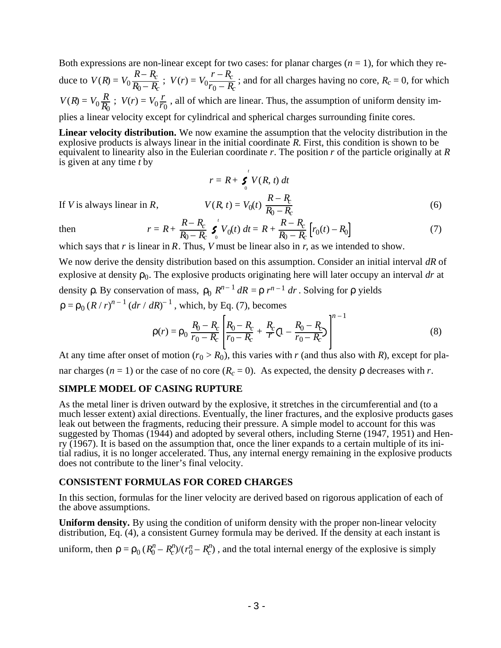Both expressions are non-linear except for two cases: for planar charges  $(n = 1)$ , for which they reduce to  $V(R) = V_0 \frac{R - R_c}{R_0 - R}$  $\frac{R-R_c}{R_0 - R_c}$ ;  $V(r) = V_0 \frac{r-R_c}{r_0 - R_c}$  $\frac{R_c}{r_0 - R_c}$ ; and for all charges having no core,  $R_c = 0$ , for which  $V(R) = V_0 \frac{R}{R_c}$  $\frac{R}{R_0}$ ;  $V(r) = V_0 \frac{r}{r_0}$  $\frac{r}{r_0}$ , all of which are linear. Thus, the assumption of uniform density implies a linear velocity except for cylindrical and spherical charges surrounding finite cores.

**Linear velocity distribution.** We now examine the assumption that the velocity distribution in the explosive products is always linear in the initial coordinate *R*. First, this condition is shown to be equivalent to linearity also in the Eulerian coordinate *r*. The position *r* of the particle originally at *R* is given at any time *t* by

$$
r = R + \sum_{0}^{t} V(R, t) dt
$$
  

$$
V(R, t) = V_0(t) \frac{R - R_c}{R_0 - R_c}
$$
 (6)

If *V* is always linear in  $\mathbb{R}$ ,

then 
$$
r = R + \frac{R - R_c}{R_0 - R_c} \int_0^t V_0(t) dt = R + \frac{R - R_c}{R_0 - R_c} [r_0(t) - R_0]
$$
(7)

which says that *r* is linear in *R*. Thus, *V* must be linear also in *r*, as we intended to show.

We now derive the density distribution based on this assumption. Consider an initial interval *dR* of explosive at density  $\rho_0$ . The explosive products originating here will later occupy an interval *dr* at density  $\rho$ . By conservation of mass,  $\rho_0 R^{n-1} dR = \rho r^{n-1} dr$ . Solving for  $\rho$  yields  $\rho = \rho_0 (R/r)^{n-1} (dr / dR)^{-1}$ , which, by Eq. (7), becomes

$$
\rho(r) = \rho_0 \frac{R_0 - R_c}{r_0 - R_c} \left[ \frac{R_0 - R_c}{r_0 - R_c} + \frac{R_c}{r} (1 - \frac{R_0 - R_c}{r_0 - R_c}) \right]^{n-1}
$$
(8)

At any time after onset of motion  $(r_0 > R_0)$ , this varies with *r* (and thus also with *R*), except for planar charges ( $n = 1$ ) or the case of no core ( $R_c = 0$ ). As expected, the density  $\rho$  decreases with *r*.

# **SIMPLE MODEL OF CASING RUPTURE**

As the metal liner is driven outward by the explosive, it stretches in the circumferential and (to a much lesser extent) axial directions. Eventually, the liner fractures, and the explosive products gases leak out between the fragments, reducing their pressure. A simple model to account for this was suggested by Thomas (1944) and adopted by several others, including Sterne (1947, 1951) and Henry (1967). It is based on the assumption that, once the liner expands to a certain multiple of its initial radius, it is no longer accelerated. Thus, any internal energy remaining in the explosive products does not contribute to the liner's final velocity.

# **CONSISTENT FORMULAS FOR CORED CHARGES**

In this section, formulas for the liner velocity are derived based on rigorous application of each of the above assumptions.

**Uniform density.** By using the condition of uniform density with the proper non-linear velocity distribution, Eq. (4), a consistent Gurney formula may be derived. If the density at each instant is

uniform, then  $\rho = \rho_0 (R_0^n - R_c^n) / (r_0^n - R_c^n)$ , and the total internal energy of the explosive is simply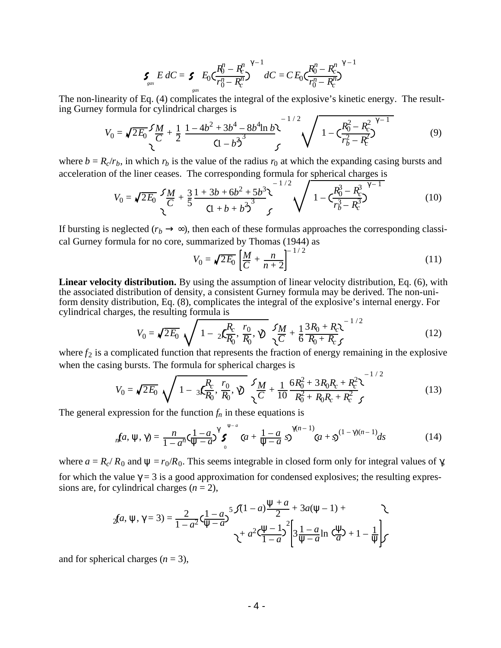$$
\boldsymbol{\zeta}_{\text{gas}} E \, dC = \boldsymbol{\zeta}_{\text{gas}} E_0 \zeta \frac{R_0^n - R_c^n}{r_0^n - R_c^n} \Big)^{\gamma - 1} dC = C E_0 \zeta \frac{R_0^n - R_c^n}{r_0^n - R_c^n} \Big)^{\gamma - 1}
$$

The non-linearity of Eq. (4) complicates the integral of the explosive's kinetic energy. The resulting Gurney formula for cylindrical charges is  $1/2$ 

$$
V_0 = \sqrt{2E_0} \frac{5M}{C} + \frac{1}{2} \frac{1 - 4b^2 + 3b^4 - 8b^4 \ln b}{(1 - b^2)^3} \sqrt{1 - \frac{R_0^2 - R_c^2}{r_b^2 - R_c^2}}
$$
(9)

where  $b = R_c/r_b$ , in which  $r_b$  is the value of the radius  $r_0$  at which the expanding casing bursts and acceleration of the liner ceases. The corresponding formula for spherical charges is

$$
V_0 = \sqrt{2E_0} \frac{5M}{C} + \frac{3}{5} \frac{1 + 3b + 6b^2 + 5b^3}{(1 + b + b^2)^3} \sqrt{\frac{1 - \left(\frac{R_0^3 - R_c^3}{r_b^3 - R_c^3}\right)^{7-1}}{1 - \left(\frac{R_0^3 - R_c^3}{r_b^3 - R_c^3}\right)^{7-1}}}
$$
(10)

If bursting is neglected  $(r_b \rightarrow \infty)$ , then each of these formulas approaches the corresponding classical Gurney formula for no core, summarized by Thomas (1944) as

$$
V_0 = \sqrt{2E_0} \left[ \frac{M}{C} + \frac{n}{n+2} \right]^{-1/2}
$$
 (11)

**Linear velocity distribution.** By using the assumption of linear velocity distribution, Eq. (6), with the associated distribution of density, a consistent Gurney formula may be derived. The non-uniform density distribution, Eq. (8), complicates the integral of the explosive's internal energy. For cylindrical charges, the resulting formula is  $\overline{1}$  / 2

$$
V_0 = \sqrt{2E_0} \sqrt{1 - 2\left(\frac{R_c}{R_0}, \frac{r_0}{R_0}, \sqrt{\frac{M}{C}}\right)} \frac{5M}{\sqrt{C}} + \frac{1}{6} \frac{3R_0 + R_c}{R_0 + R_c} \sqrt{\frac{1}{2}} \tag{12}
$$

where  $f_2$  is a complicated function that represents the fraction of energy remaining in the explosive when the casing bursts. The formula for spherical charges is

$$
V_0 = \sqrt{2E_0} \sqrt{1 - 3\mathcal{L}_{R_0}^R}, \frac{r_0}{R_0}, \gamma \sqrt{\frac{M}{C} + \frac{1}{10} \frac{6R_0^2 + 3R_0R_c + R_c^2}{R_0^2 + R_0R_c + R_c^2}} \sqrt{13}
$$
(13)

The general expression for the function  $f_n$  in these equations is

$$
{}_{n}f a, \psi, \gamma) = \frac{n}{1 - a^{n}} \zeta \frac{1 - a}{\psi - a} \gamma^{\gamma} \zeta \qquad (a + \frac{1 - a}{\psi - a} \zeta)^{\gamma (n - 1)} \zeta \qquad (14)
$$

where  $a = R_c/R_0$  and  $\psi = r_0/R_0$ . This seems integrable in closed form only for integral values of  $\gamma$ , for which the value  $\gamma = 3$  is a good approximation for condensed explosives; the resulting expressions are, for cylindrical charges  $(n = 2)$ ,

$$
_2fa, \psi, \gamma = 3) = \frac{2}{1 - a^2} \zeta \frac{1 - a}{\psi - a} 5 \frac{\zeta (1 - a) \frac{\psi + a}{2} + 3a(\psi - 1) + 3\zeta (1 - a) \zeta (1 - a) \zeta (1 - a)}{\zeta + a^2 \zeta (1 - a)} \left[ 3 \frac{1 - a}{\psi - a} \ln \zeta \frac{\psi}{a} \right] + 1 - \frac{1}{\psi} \zeta
$$

and for spherical charges  $(n = 3)$ ,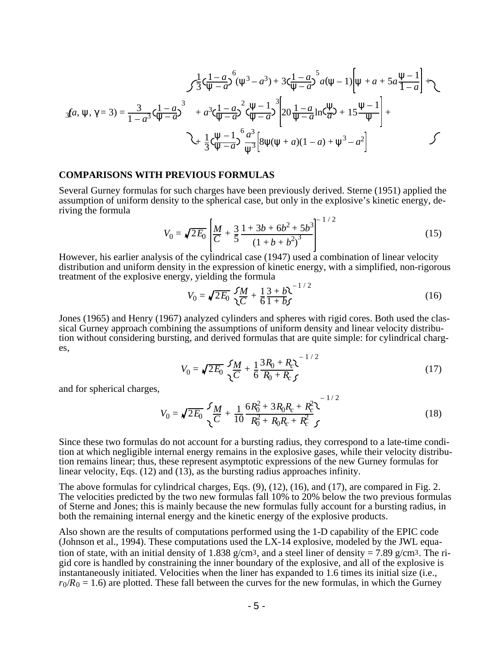$$
\int \frac{1}{3} \zeta \frac{1 - a}{\psi - a}^{6} (\psi^{3} - a^{3}) + 3 \zeta \frac{1 - a}{\psi - a}^{5} a(\psi - 1) \left[ \psi + a + 5 a \frac{\psi - 1}{1 - a} \right] + \zeta
$$
  

$$
_3fa, \psi, \gamma = 3) = \frac{3}{1 - a^{3}} \zeta \frac{1 - a}{\psi - a}^{3} + a^{3} \zeta \frac{1 - a}{\psi - a}^{2} \zeta \frac{\psi - 1}{\psi - a}^{3} \left[ 20 \frac{1 - a}{\psi - a} \ln \zeta \frac{\psi}{a} + 15 \frac{\psi - 1}{\psi} \right] + \zeta
$$
  

$$
\zeta + \frac{1}{3} \zeta \frac{\psi - 1}{\psi - a}^{6} \frac{a^{3}}{\psi^{3}} \left[ 8 \psi (\psi + a)(1 - a) + \psi^{3} - a^{2} \right]
$$

## **COMPARISONS WITH PREVIOUS FORMULAS**

Several Gurney formulas for such charges have been previously derived. Sterne (1951) applied the assumption of uniform density to the spherical case, but only in the explosive's kinetic energy, deriving the formula

$$
V_0 = \sqrt{2E_0} \left[ \frac{M}{C} + \frac{3}{5} \frac{1 + 3b + 6b^2 + 5b^3}{\left(1 + b + b^2\right)^3} \right]^{-1/2} \tag{15}
$$

However, his earlier analysis of the cylindrical case (1947) used a combination of linear velocity distribution and uniform density in the expression of kinetic energy, with a simplified, non-rigorous treatment of the explosive energy, yielding the formula

$$
V_0 = \sqrt{2E_0} \frac{5M}{2C} + \frac{1}{6} \frac{3+b}{1+b} \sqrt{1^2 + 2^2} \tag{16}
$$

Jones (1965) and Henry (1967) analyzed cylinders and spheres with rigid cores. Both used the classical Gurney approach combining the assumptions of uniform density and linear velocity distribution without considering bursting, and derived formulas that are quite simple: for cylindrical charges,

$$
V_0 = \sqrt{2E_0} \frac{5M}{\sqrt{C}} + \frac{1}{6} \frac{3R_0 + R_c \lambda}{R_0 + R_c f}^{-1/2}
$$
 (17)

 $1/2$ 

and for spherical charges,

$$
V_0 = \sqrt{2E_0} \frac{5}{\sqrt{C}} \frac{M}{T} + \frac{1}{10} \frac{6R_0^2 + 3R_0R_c + R_c^2}{R_0^2 + R_0R_c + R_c^2} \tag{18}
$$

Since these two formulas do not account for a bursting radius, they correspond to a late-time condition at which negligible internal energy remains in the explosive gases, while their velocity distribution remains linear; thus, these represent asymptotic expressions of the new Gurney formulas for linear velocity, Eqs. (12) and (13), as the bursting radius approaches infinity.

The above formulas for cylindrical charges, Eqs. (9), (12), (16), and (17), are compared in Fig. 2. The velocities predicted by the two new formulas fall 10% to 20% below the two previous formulas of Sterne and Jones; this is mainly because the new formulas fully account for a bursting radius, in both the remaining internal energy and the kinetic energy of the explosive products.

Also shown are the results of computations performed using the 1-D capability of the EPIC code (Johnson et al., 1994). These computations used the LX-14 explosive, modeled by the JWL equation of state, with an initial density of 1.838 g/cm<sup>3</sup>, and a steel liner of density = 7.89 g/cm<sup>3</sup>. The rigid core is handled by constraining the inner boundary of the explosive, and all of the explosive is instantaneously initiated. Velocities when the liner has expanded to 1.6 times its initial size (i.e.,  $r_0/R_0 = 1.6$ ) are plotted. These fall between the curves for the new formulas, in which the Gurney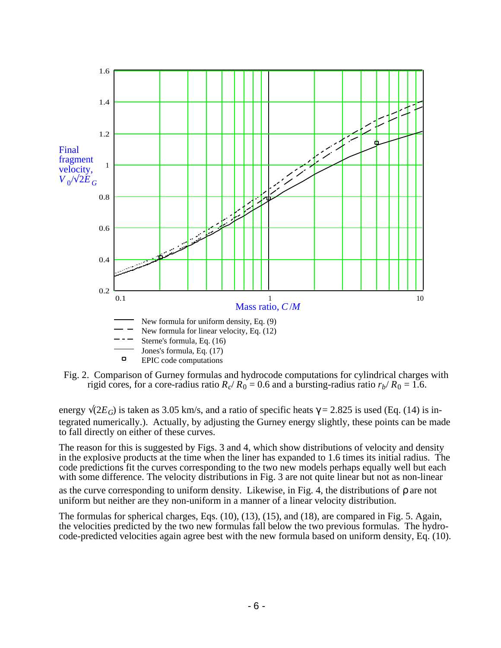

Fig. 2. Comparison of Gurney formulas and hydrocode computations for cylindrical charges with rigid cores, for a core-radius ratio  $R_c/R_0 = 0.6$  and a bursting-radius ratio  $r_b/R_0 = 1.6$ .

energy  $\sqrt{2E_G}$ ) is taken as 3.05 km/s, and a ratio of specific heats  $\gamma = 2.825$  is used (Eq. (14) is integrated numerically.). Actually, by adjusting the Gurney energy slightly, these points can be made to fall directly on either of these curves.

The reason for this is suggested by Figs. 3 and 4, which show distributions of velocity and density in the explosive products at the time when the liner has expanded to 1.6 times its initial radius. The code predictions fit the curves corresponding to the two new models perhaps equally well but each with some difference. The velocity distributions in Fig. 3 are not quite linear but not as non-linear as the curve corresponding to uniform density. Likewise, in Fig. 4, the distributions of ρ are not uniform but neither are they non-uniform in a manner of a linear velocity distribution.

The formulas for spherical charges, Eqs. (10), (13), (15), and (18), are compared in Fig. 5. Again, the velocities predicted by the two new formulas fall below the two previous formulas. The hydrocode-predicted velocities again agree best with the new formula based on uniform density, Eq. (10).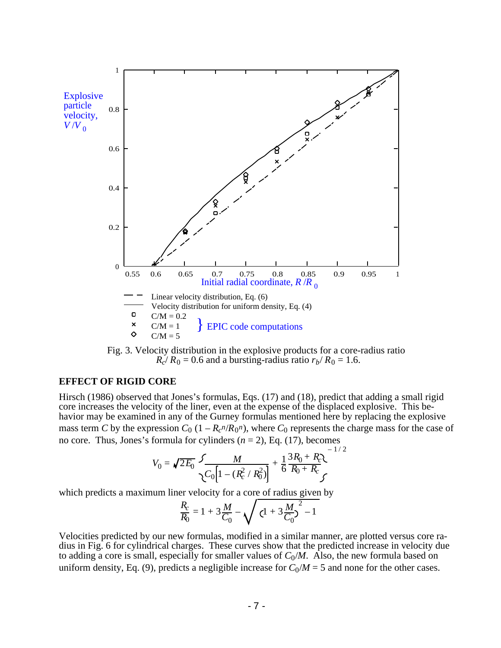



### **EFFECT OF RIGID CORE**

Hirsch (1986) observed that Jones's formulas, Eqs. (17) and (18), predict that adding a small rigid core increases the velocity of the liner, even at the expense of the displaced explosive. This behavior may be examined in any of the Gurney formulas mentioned here by replacing the explosive mass term *C* by the expression  $C_0$  (1 –  $R_c^n/R_0^n$ ), where  $C_0$  represents the charge mass for the case of no core. Thus, Jones's formula for cylinders (*n* = 2), Eq. (17), becomes

$$
V_0 = \sqrt{2E_0} \frac{5}{\sqrt{C_0 \left[1 - (R_c^2/R_0^2)\right]}} + \frac{1}{6} \frac{3R_0 + R_c}{R_0 + R_c}
$$

which predicts a maximum liner velocity for a core of radius given by

$$
\frac{R_c}{R_0} = 1 + 3\frac{M}{C_0} - \sqrt{(1 + 3\frac{M}{C_0})^2 - 1}
$$

Velocities predicted by our new formulas, modified in a similar manner, are plotted versus core radius in Fig. 6 for cylindrical charges. These curves show that the predicted increase in velocity due to adding a core is small, especially for smaller values of  $C_0/M$ . Also, the new formula based on uniform density, Eq. (9), predicts a negligible increase for  $C_0/M = 5$  and none for the other cases.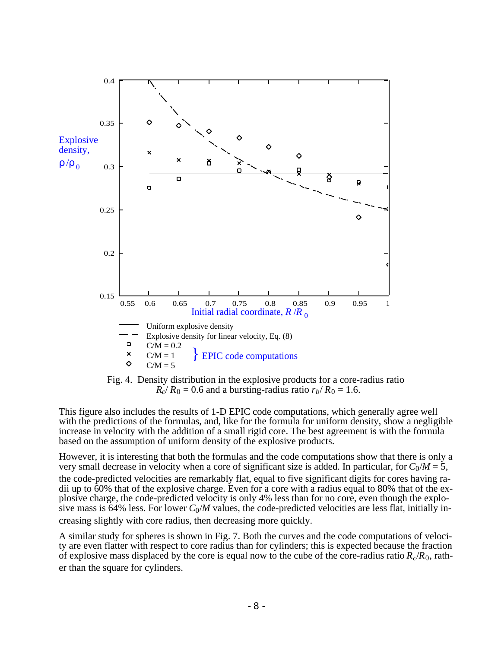



This figure also includes the results of 1-D EPIC code computations, which generally agree well with the predictions of the formulas, and, like for the formula for uniform density, show a negligible increase in velocity with the addition of a small rigid core. The best agreement is with the formula based on the assumption of uniform density of the explosive products.

However, it is interesting that both the formulas and the code computations show that there is only a very small decrease in velocity when a core of significant size is added. In particular, for  $C_0/M = 5$ , the code-predicted velocities are remarkably flat, equal to five significant digits for cores having radii up to 60% that of the explosive charge. Even for a core with a radius equal to 80% that of the explosive charge, the code-predicted velocity is only 4% less than for no core, even though the explosive mass is 64% less. For lower  $C_0/M$  values, the code-predicted velocities are less flat, initially increasing slightly with core radius, then decreasing more quickly.

A similar study for spheres is shown in Fig. 7. Both the curves and the code computations of velocity are even flatter with respect to core radius than for cylinders; this is expected because the fraction of explosive mass displaced by the core is equal now to the cube of the core-radius ratio *R<sup>c</sup>* /*R*0, rather than the square for cylinders.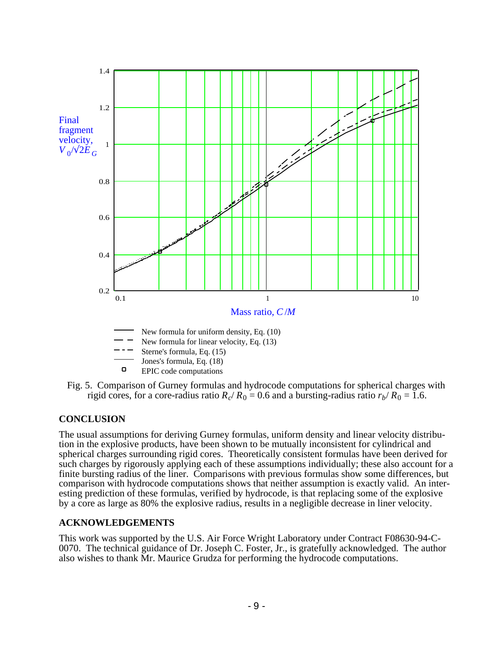

Fig. 5. Comparison of Gurney formulas and hydrocode computations for spherical charges with rigid cores, for a core-radius ratio  $R_c/R_0 = 0.6$  and a bursting-radius ratio  $r_b/R_0 = 1.6$ .

# **CONCLUSION**

The usual assumptions for deriving Gurney formulas, uniform density and linear velocity distribution in the explosive products, have been shown to be mutually inconsistent for cylindrical and spherical charges surrounding rigid cores. Theoretically consistent formulas have been derived for such charges by rigorously applying each of these assumptions individually; these also account for a finite bursting radius of the liner. Comparisons with previous formulas show some differences, but comparison with hydrocode computations shows that neither assumption is exactly valid. An interesting prediction of these formulas, verified by hydrocode, is that replacing some of the explosive by a core as large as 80% the explosive radius, results in a negligible decrease in liner velocity.

# **ACKNOWLEDGEMENTS**

This work was supported by the U.S. Air Force Wright Laboratory under Contract F08630-94-C-0070. The technical guidance of Dr. Joseph C. Foster, Jr., is gratefully acknowledged. The author also wishes to thank Mr. Maurice Grudza for performing the hydrocode computations.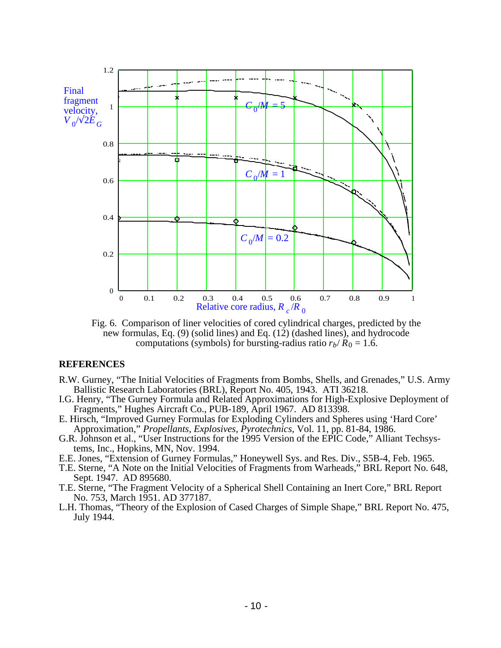

Fig. 6. Comparison of liner velocities of cored cylindrical charges, predicted by the new formulas, Eq. (9) (solid lines) and Eq. (12) (dashed lines), and hydrocode computations (symbols) for bursting-radius ratio  $r_b/R_0 = 1.6$ .

## **REFERENCES**

- R.W. Gurney, "The Initial Velocities of Fragments from Bombs, Shells, and Grenades," U.S. Army Ballistic Research Laboratories (BRL), Report No. 405, 1943. ATI 36218.
- I.G. Henry, "The Gurney Formula and Related Approximations for High-Explosive Deployment of Fragments," Hughes Aircraft Co., PUB-189, April 1967. AD 813398.
- E. Hirsch, "Improved Gurney Formulas for Exploding Cylinders and Spheres using 'Hard Core' Approximation," *Propellants, Explosives, Pyrotechnics*, Vol. 11, pp. 81-84, 1986.
- G.R. Johnson et al., "User Instructions for the 1995 Version of the EPIC Code," Alliant Techsystems, Inc., Hopkins, MN, Nov. 1994.
- E.E. Jones, "Extension of Gurney Formulas," Honeywell Sys. and Res. Div., S5B-4, Feb. 1965.
- T.E. Sterne, "A Note on the Initial Velocities of Fragments from Warheads," BRL Report No. 648, Sept. 1947. AD 895680.
- T.E. Sterne, "The Fragment Velocity of a Spherical Shell Containing an Inert Core," BRL Report No. 753, March 1951. AD 377187.
- L.H. Thomas, "Theory of the Explosion of Cased Charges of Simple Shape," BRL Report No. 475, July 1944.